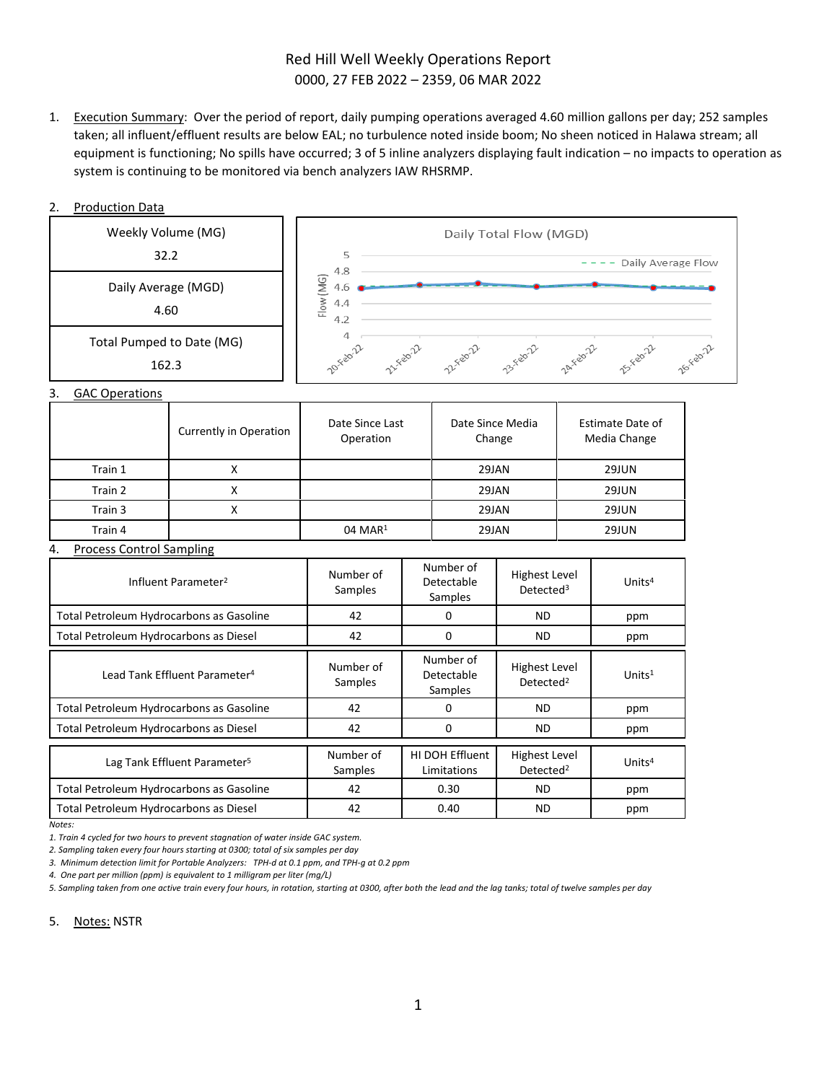# Red Hill Well Weekly Operations Report 0000, 27 FEB 2022 – 2359, 06 MAR 2022

1. Execution Summary: Over the period of report, daily pumping operations averaged 4.60 million gallons per day; 252 samples taken; all influent/effluent results are below EAL; no turbulence noted inside boom; No sheen noticed in Halawa stream; all equipment is functioning; No spills have occurred; 3 of 5 inline analyzers displaying fault indication – no impacts to operation as system is continuing to be monitored via bench analyzers IAW RHSRMP.

## 2. Production Data



3. GAC Operations

|         | Currently in Operation | Date Since Last<br>Operation | Date Since Media<br>Change | Estimate Date of<br>Media Change |
|---------|------------------------|------------------------------|----------------------------|----------------------------------|
| Train 1 |                        |                              | 29JAN                      | <b>29JUN</b>                     |
| Train 2 |                        |                              | 29JAN                      | <b>29JUN</b>                     |
| Train 3 |                        |                              | 29JAN                      | 29JUN                            |
| Train 4 |                        | $04$ MAR <sup>1</sup>        | 29JAN                      | 29JUN                            |

### 4. Process Control Sampling

| Influent Parameter <sup>2</sup>           | Number of<br>Samples | Number of<br>Detectable<br>Samples | Highest Level<br>Detected <sup>3</sup>        | Units $4$ |
|-------------------------------------------|----------------------|------------------------------------|-----------------------------------------------|-----------|
| Total Petroleum Hydrocarbons as Gasoline  | 42                   | 0                                  | <b>ND</b>                                     | ppm       |
| Total Petroleum Hydrocarbons as Diesel    | 42                   | 0                                  | ND.                                           | ppm       |
| Lead Tank Effluent Parameter <sup>4</sup> | Number of<br>Samples | Number of<br>Detectable<br>Samples | Highest Level<br>Detected <sup>2</sup>        | Units $1$ |
| Total Petroleum Hydrocarbons as Gasoline  | 42                   | 0                                  | <b>ND</b>                                     | ppm       |
| Total Petroleum Hydrocarbons as Diesel    | 42                   | 0                                  | <b>ND</b>                                     | ppm       |
| Lag Tank Effluent Parameter <sup>5</sup>  | Number of<br>Samples | HI DOH Effluent<br>Limitations     | <b>Highest Level</b><br>Detected <sup>2</sup> | Units $4$ |
| Total Petroleum Hydrocarbons as Gasoline  | 42                   | 0.30                               | ND.                                           | ppm       |
| Total Petroleum Hydrocarbons as Diesel    | 42                   | 0.40                               | ND.                                           | ppm       |

*Notes:*

*1. Train 4 cycled for two hours to prevent stagnation of water inside GAC system.*

*2. Sampling taken every four hours starting at 0300; total of six samples per day*

*3. Minimum detection limit for Portable Analyzers: TPH-d at 0.1 ppm, and TPH-g at 0.2 ppm*

*4. One part per million (ppm) is equivalent to 1 milligram per liter (mg/L)*

*5. Sampling taken from one active train every four hours, in rotation, starting at 0300, after both the lead and the lag tanks; total of twelve samples per day*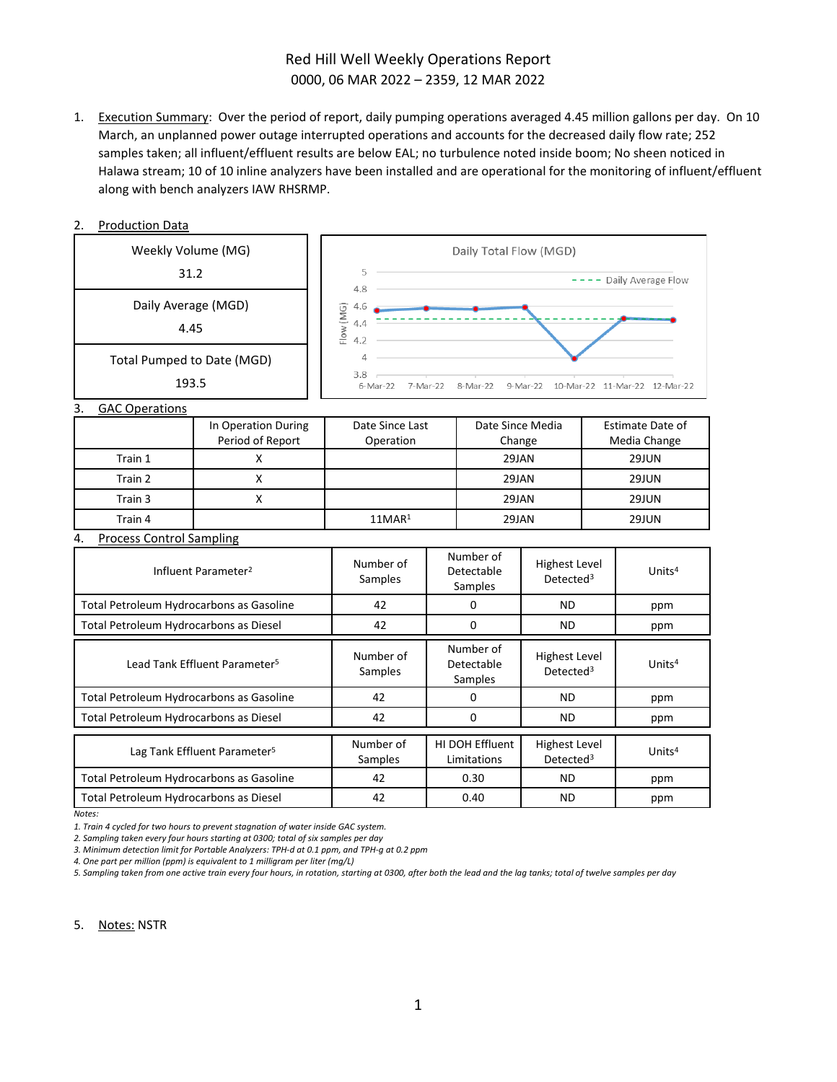# Red Hill Well Weekly Operations Report 0000, 06 MAR 2022 – 2359, 12 MAR 2022

1. Execution Summary: Over the period of report, daily pumping operations averaged 4.45 million gallons per day. On 10 March, an unplanned power outage interrupted operations and accounts for the decreased daily flow rate; 252 samples taken; all influent/effluent results are below EAL; no turbulence noted inside boom; No sheen noticed in Halawa stream; 10 of 10 inline analyzers have been installed and are operational for the monitoring of influent/effluent along with bench analyzers IAW RHSRMP.

| <b>Production Data</b> |  |
|------------------------|--|
|                        |  |



*Notes:*

*1. Train 4 cycled for two hours to prevent stagnation of water inside GAC system.* 

*2. Sampling taken every four hours starting at 0300; total of six samples per day*

*3. Minimum detection limit for Portable Analyzers: TPH-d at 0.1 ppm, and TPH-g at 0.2 ppm* 

*4. One part per million (ppm) is equivalent to 1 milligram per liter (mg/L)* 

*5. Sampling taken from one active train every four hours, in rotation, starting at 0300, after both the lead and the lag tanks; total of twelve samples per day*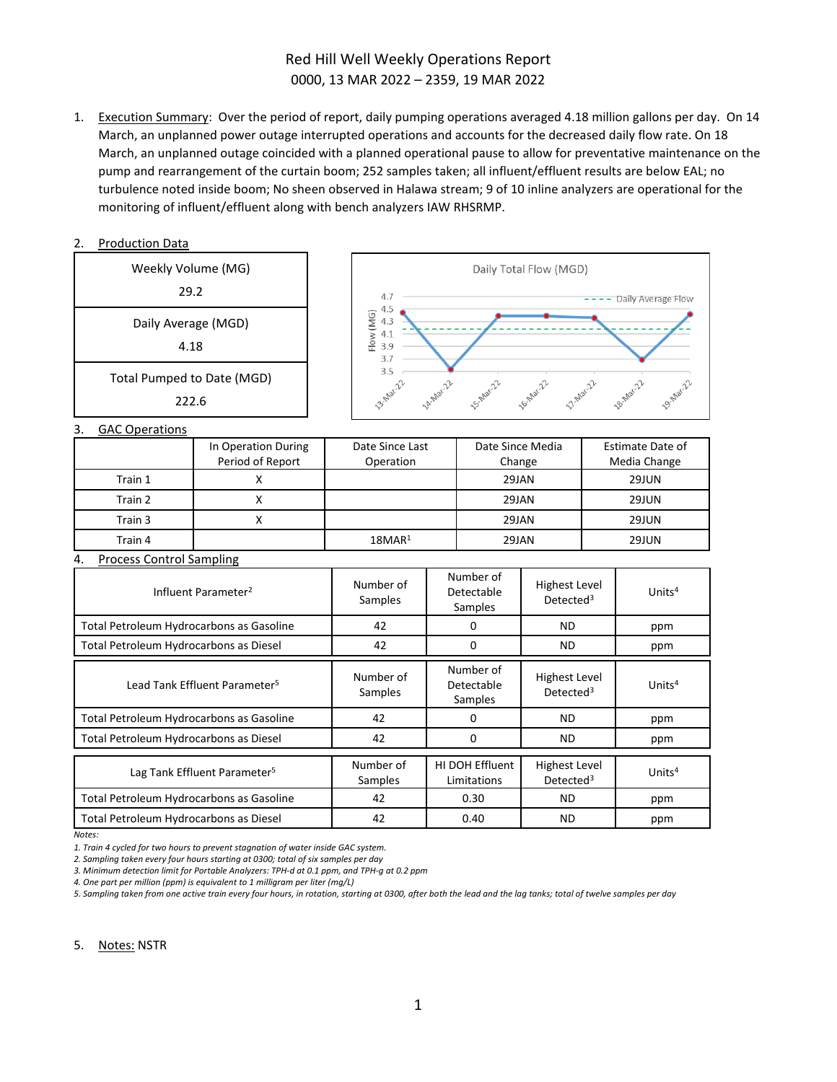# Red Hill Well Weekly Operations Report 0000, 13 MAR 2022 – 2359, 19 MAR 2022

1. Execution Summary: Over the period of report, daily pumping operations averaged 4.18 million gallons per day. On 14 March, an unplanned power outage interrupted operations and accounts for the decreased daily flow rate. On 18 March, an unplanned outage coincided with a planned operational pause to allow for preventative maintenance on the pump and rearrangement of the curtain boom; 252 samples taken; all influent/effluent results are below EAL; no turbulence noted inside boom; No sheen observed in Halawa stream; 9 of 10 inline analyzers are operational for the monitoring of influent/effluent along with bench analyzers IAW RHSRMP.

#### 2. Production Data Weekly Volume (MG) Daily Total Flow (MGD) 29.2  $4.7$ ---- Daily Average Flow 4.5  $(MG)$  $4.3$ Daily Average (MGD)  $4.1$ Flow ( 4.18 3.9 3.7 3.5 **14-Nar-22** 15-Mar-22 **16-Mar-22** 17.Nat-22 **18-Mar-22** Total Pumped to Date (MGD) 3.5 19-Mar-22 222.63. GAC Operations

| <u>.</u> | <b>UNC UNCLATIONS</b> |                                         |                              |                            |                                  |
|----------|-----------------------|-----------------------------------------|------------------------------|----------------------------|----------------------------------|
|          |                       | In Operation During<br>Period of Report | Date Since Last<br>Operation | Date Since Media<br>Change | Estimate Date of<br>Media Change |
|          | Train 1               |                                         |                              | 29JAN                      | 29JUN                            |
|          | Train 2               |                                         |                              | 29JAN                      | <b>29JUN</b>                     |
|          | Train 3               |                                         |                              | 29JAN                      | <b>29JUN</b>                     |
|          | Train 4               |                                         | 18MAR <sup>1</sup>           | 29JAN                      | 29JUN                            |

#### 4. Process Control Sampling

| Influent Parameter <sup>2</sup>           | Number of<br>Samples | Number of<br>Detectable<br>Samples | <b>Highest Level</b><br>Detected <sup>3</sup> | Units $4$ |
|-------------------------------------------|----------------------|------------------------------------|-----------------------------------------------|-----------|
| Total Petroleum Hydrocarbons as Gasoline  | 42                   |                                    | ND.                                           | ppm       |
| Total Petroleum Hydrocarbons as Diesel    | 42                   | $\Omega$                           | ND.                                           | ppm       |
| Lead Tank Effluent Parameter <sup>5</sup> | Number of<br>Samples | Number of<br>Detectable<br>Samples | <b>Highest Level</b><br>Detected <sup>3</sup> | Units $4$ |
| Total Petroleum Hydrocarbons as Gasoline  | 42                   | 0                                  | ND.                                           | ppm       |
| Total Petroleum Hydrocarbons as Diesel    | 42                   | 0                                  | ND                                            | ppm       |
| Lag Tank Effluent Parameter <sup>5</sup>  | Number of<br>Samples | HI DOH Effluent<br>Limitations     | <b>Highest Level</b><br>Detected <sup>3</sup> | Units $4$ |
| Total Petroleum Hydrocarbons as Gasoline  | 42                   | 0.30                               | ND.                                           | ppm       |
| Total Petroleum Hydrocarbons as Diesel    | 42                   | 0.40                               | <b>ND</b>                                     | ppm       |

*Notes:*

*1. Train 4 cycled for two hours to prevent stagnation of water inside GAC system.* 

*2. Sampling taken every four hours starting at 0300; total of six samples per day*

*3. Minimum detection limit for Portable Analyzers: TPH-d at 0.1 ppm, and TPH-g at 0.2 ppm* 

*4. One part per million (ppm) is equivalent to 1 milligram per liter (mg/L)* 

*5. Sampling taken from one active train every four hours, in rotation, starting at 0300, after both the lead and the lag tanks; total of twelve samples per day*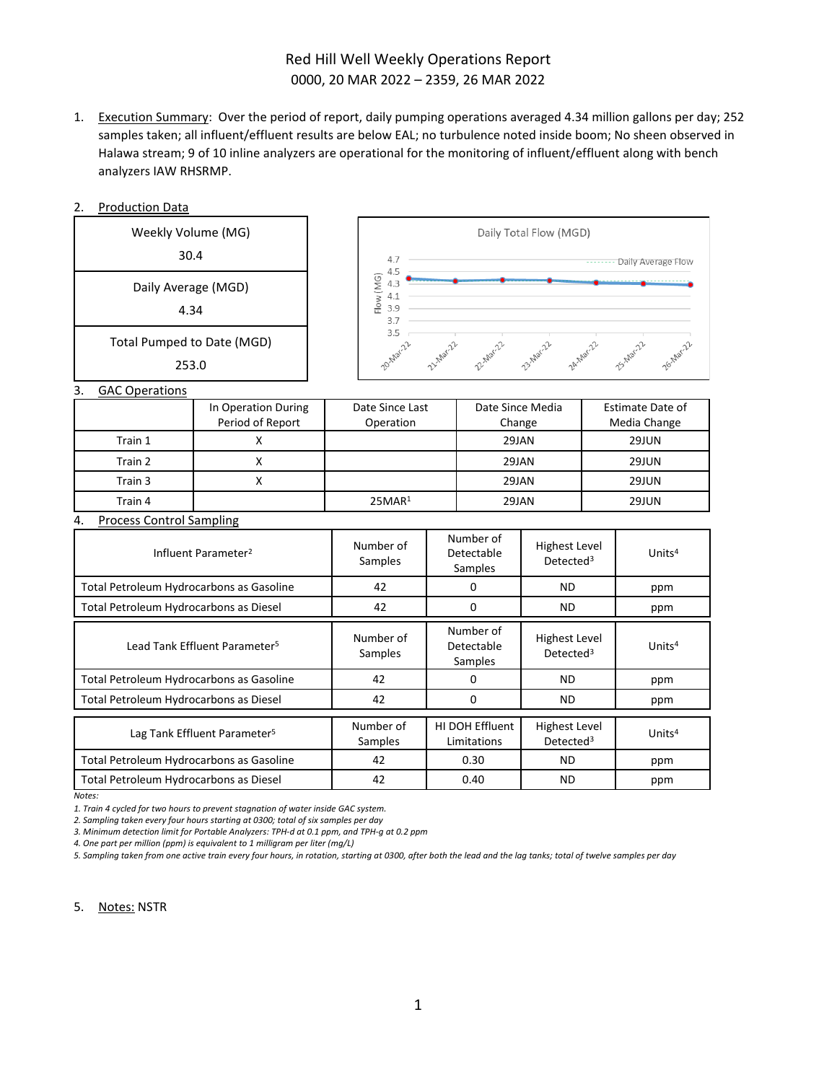# Red Hill Well Weekly Operations Report 0000, 20 MAR 2022 – 2359, 26 MAR 2022

1. Execution Summary: Over the period of report, daily pumping operations averaged 4.34 million gallons per day; 252 samples taken; all influent/effluent results are below EAL; no turbulence noted inside boom; No sheen observed in Halawa stream; 9 of 10 inline analyzers are operational for the monitoring of influent/effluent along with bench analyzers IAW RHSRMP.

| <b>Production Data</b><br>2.              |                                         |                         |                                                                                     |                                    |                                               |           |                                         |
|-------------------------------------------|-----------------------------------------|-------------------------|-------------------------------------------------------------------------------------|------------------------------------|-----------------------------------------------|-----------|-----------------------------------------|
| Weekly Volume (MG)                        |                                         | Daily Total Flow (MGD)  |                                                                                     |                                    |                                               |           |                                         |
| 30.4                                      |                                         | 4.7<br>4.5              |                                                                                     |                                    |                                               |           | -------- Daily Average Flow             |
| Daily Average (MGD)                       |                                         | Flow (MG)<br>4.3<br>4.1 |                                                                                     |                                    |                                               |           |                                         |
| 4.34                                      |                                         | 3.9<br>3.7              |                                                                                     |                                    |                                               |           |                                         |
| Total Pumped to Date (MGD)                |                                         | 3.5<br>2014/ar.22       |                                                                                     | 2-Marz 2 2-Marz 2-Marzo 2-Marzo    |                                               |           |                                         |
| 253.0                                     |                                         |                         |                                                                                     |                                    |                                               |           | 25-Mar-22                               |
| 3.<br><b>GAC Operations</b>               |                                         |                         |                                                                                     |                                    |                                               |           |                                         |
|                                           | In Operation During<br>Period of Report | Operation               | Date Since Last<br>Date Since Media<br>Change                                       |                                    |                                               |           | <b>Estimate Date of</b><br>Media Change |
| Train 1                                   | X                                       |                         |                                                                                     | 29JAN                              |                                               | 29JUN     |                                         |
| Train 2                                   | $\mathsf{x}$                            |                         | 29JAN                                                                               |                                    | 29JUN                                         |           |                                         |
| Train 3                                   | $\mathsf{X}$                            |                         | <b>29JAN</b>                                                                        |                                    | <b>29JUN</b>                                  |           |                                         |
| Train 4                                   |                                         | 25MAR <sup>1</sup>      | 29JAN                                                                               |                                    | 29JUN                                         |           |                                         |
| 4.<br><b>Process Control Sampling</b>     |                                         |                         |                                                                                     |                                    |                                               |           |                                         |
| Influent Parameter <sup>2</sup>           |                                         | Number of<br>Samples    |                                                                                     | Number of<br>Detectable<br>Samples | <b>Highest Level</b><br>Detected <sup>3</sup> |           | Units <sup>4</sup>                      |
| Total Petroleum Hydrocarbons as Gasoline  |                                         | 42                      |                                                                                     | $\Omega$                           | <b>ND</b>                                     |           | ppm                                     |
| Total Petroleum Hydrocarbons as Diesel    |                                         | 42                      | $\mathbf 0$<br><b>ND</b>                                                            |                                    |                                               | ppm       |                                         |
| Lead Tank Effluent Parameter <sup>5</sup> |                                         | Number of<br>Samples    | Number of<br><b>Highest Level</b><br>Detectable<br>Detected <sup>3</sup><br>Samples |                                    |                                               | Units $4$ |                                         |
| Total Petroleum Hydrocarbons as Gasoline  |                                         | 42                      | 0                                                                                   |                                    | <b>ND</b>                                     |           | ppm                                     |
| Total Petroleum Hydrocarbons as Diesel    |                                         | 42                      | 0<br><b>ND</b>                                                                      |                                    |                                               | ppm       |                                         |
| Lag Tank Effluent Parameter <sup>5</sup>  |                                         | Number of<br>Samples    |                                                                                     | HI DOH Effluent<br>Limitations     | <b>Highest Level</b><br>Detected <sup>3</sup> |           | Units <sup>4</sup>                      |
| Total Petroleum Hydrocarbons as Gasoline  |                                         | 42                      | 0.30                                                                                |                                    | <b>ND</b>                                     |           | ppm                                     |
| Total Petroleum Hydrocarbons as Diesel    |                                         | 42                      |                                                                                     | 0.40                               | <b>ND</b>                                     |           | ppm                                     |

*Notes:*

*1. Train 4 cycled for two hours to prevent stagnation of water inside GAC system.* 

*2. Sampling taken every four hours starting at 0300; total of six samples per day*

*3. Minimum detection limit for Portable Analyzers: TPH-d at 0.1 ppm, and TPH-g at 0.2 ppm* 

*4. One part per million (ppm) is equivalent to 1 milligram per liter (mg/L)* 

*5. Sampling taken from one active train every four hours, in rotation, starting at 0300, after both the lead and the lag tanks; total of twelve samples per day*